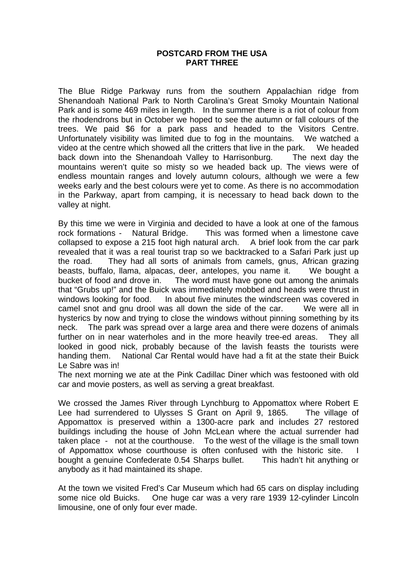## **POSTCARD FROM THE USA PART THREE**

The Blue Ridge Parkway runs from the southern Appalachian ridge from Shenandoah National Park to North Carolina's Great Smoky Mountain National Park and is some 469 miles in length. In the summer there is a riot of colour from the rhodendrons but in October we hoped to see the autumn or fall colours of the trees. We paid \$6 for a park pass and headed to the Visitors Centre. Unfortunately visibility was limited due to fog in the mountains. We watched a video at the centre which showed all the critters that live in the park. We headed back down into the Shenandoah Valley to Harrisonburg. The next day the mountains weren't quite so misty so we headed back up. The views were of endless mountain ranges and lovely autumn colours, although we were a few weeks early and the best colours were yet to come. As there is no accommodation in the Parkway, apart from camping, it is necessary to head back down to the valley at night.

By this time we were in Virginia and decided to have a look at one of the famous rock formations - Natural Bridge. This was formed when a limestone cave collapsed to expose a 215 foot high natural arch. A brief look from the car park revealed that it was a real tourist trap so we backtracked to a Safari Park just up the road. They had all sorts of animals from camels, gnus, African grazing beasts, buffalo, llama, alpacas, deer, antelopes, you name it. We bought a bucket of food and drove in. The word must have gone out among the animals that "Grubs up!" and the Buick was immediately mobbed and heads were thrust in windows looking for food. In about five minutes the windscreen was covered in camel snot and gnu drool was all down the side of the car. We were all in hysterics by now and trying to close the windows without pinning something by its neck. The park was spread over a large area and there were dozens of animals further on in near waterholes and in the more heavily tree-ed areas. They all looked in good nick, probably because of the lavish feasts the tourists were handing them. National Car Rental would have had a fit at the state their Buick Le Sabre was in!

The next morning we ate at the Pink Cadillac Diner which was festooned with old car and movie posters, as well as serving a great breakfast.

We crossed the James River through Lynchburg to Appomattox where Robert E Lee had surrendered to Ulysses S Grant on April 9, 1865. The village of Appomattox is preserved within a 1300-acre park and includes 27 restored buildings including the house of John McLean where the actual surrender had taken place - not at the courthouse. To the west of the village is the small town of Appomattox whose courthouse is often confused with the historic site. I bought a genuine Confederate 0.54 Sharps bullet. This hadn't hit anything or anybody as it had maintained its shape.

At the town we visited Fred's Car Museum which had 65 cars on display including some nice old Buicks. One huge car was a very rare 1939 12-cylinder Lincoln limousine, one of only four ever made.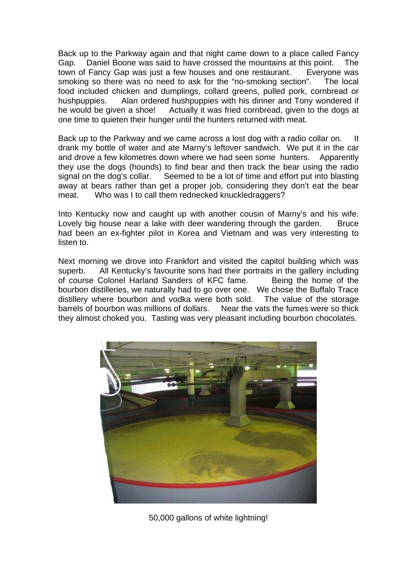Back up to the Parkway again and that night came down to a place called Fancy Gap. Daniel Boone was said to have crossed the mountains at this point. The town of Fancy Gap was just a few houses and one restaurant. Everyone was smoking so there was no need to ask for the "no-smoking section". The local food included chicken and dumplings, collard greens, pulled pork, cornbread or hushpuppies. Alan ordered hushpuppies with his dinner and Tony wondered if he would be given a shoe! Actually it was fried cornbread, given to the dogs at one time to quieten their hunger until the hunters returned with meat.

Back up to the Parkway and we came across a lost dog with a radio collar on. It drank my bottle of water and ate Marny's leftover sandwich. We put it in the car and drove a few kilometres down where we had seen some hunters. Apparently they use the dogs (hounds) to find bear and then track the bear using the radio signal on the dog's collar. Seemed to be a lot of time and effort put into blasting away at bears rather than get a proper job, considering they don't eat the bear meat. Who was I to call them rednecked knuckledraggers?

Into Kentucky now and caught up with another cousin of Marny's and his wife. Lovely big house near a lake with deer wandering through the garden. Bruce had been an ex-fighter pilot in Korea and Vietnam and was very interesting to listen to.

Next morning we drove into Frankfort and visited the capitol building which was superb. All Kentucky's favourite sons had their portraits in the gallery including of course Colonel Harland Sanders of KFC fame. Being the home of the bourbon distilleries, we naturally had to go over one. We chose the Buffalo Trace distillery where bourbon and vodka were both sold. The value of the storage barrels of bourbon was millions of dollars. Near the vats the fumes were so thick they almost choked you. Tasting was very pleasant including bourbon chocolates.



50,000 gallons of white lightning!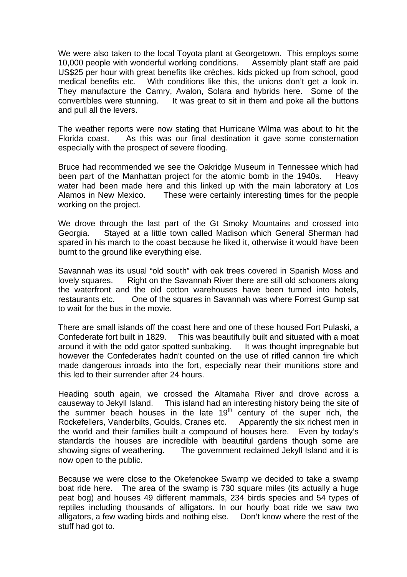We were also taken to the local Toyota plant at Georgetown. This employs some 10,000 people with wonderful working conditions. Assembly plant staff are paid US\$25 per hour with great benefits like crèches, kids picked up from school, good medical benefits etc. With conditions like this, the unions don't get a look in. They manufacture the Camry, Avalon, Solara and hybrids here. Some of the convertibles were stunning. It was great to sit in them and poke all the buttons and pull all the levers.

The weather reports were now stating that Hurricane Wilma was about to hit the Florida coast. As this was our final destination it gave some consternation especially with the prospect of severe flooding.

Bruce had recommended we see the Oakridge Museum in Tennessee which had been part of the Manhattan project for the atomic bomb in the 1940s. Heavy water had been made here and this linked up with the main laboratory at Los Alamos in New Mexico. These were certainly interesting times for the people working on the project.

We drove through the last part of the Gt Smoky Mountains and crossed into Georgia. Stayed at a little town called Madison which General Sherman had spared in his march to the coast because he liked it, otherwise it would have been burnt to the ground like everything else.

Savannah was its usual "old south" with oak trees covered in Spanish Moss and lovely squares. Right on the Savannah River there are still old schooners along the waterfront and the old cotton warehouses have been turned into hotels, restaurants etc. One of the squares in Savannah was where Forrest Gump sat to wait for the bus in the movie.

There are small islands off the coast here and one of these housed Fort Pulaski, a Confederate fort built in 1829. This was beautifully built and situated with a moat around it with the odd gator spotted sunbaking. It was thought impregnable but however the Confederates hadn't counted on the use of rifled cannon fire which made dangerous inroads into the fort, especially near their munitions store and this led to their surrender after 24 hours.

Heading south again, we crossed the Altamaha River and drove across a causeway to Jekyll Island. This island had an interesting history being the site of the summer beach houses in the late  $19<sup>th</sup>$  century of the super rich, the Rockefellers, Vanderbilts, Goulds, Cranes etc. Apparently the six richest men in the world and their families built a compound of houses here. Even by today's standards the houses are incredible with beautiful gardens though some are showing signs of weathering. The government reclaimed Jekyll Island and it is now open to the public.

Because we were close to the Okefenokee Swamp we decided to take a swamp boat ride here. The area of the swamp is 730 square miles (its actually a huge peat bog) and houses 49 different mammals, 234 birds species and 54 types of reptiles including thousands of alligators. In our hourly boat ride we saw two alligators, a few wading birds and nothing else. Don't know where the rest of the stuff had got to.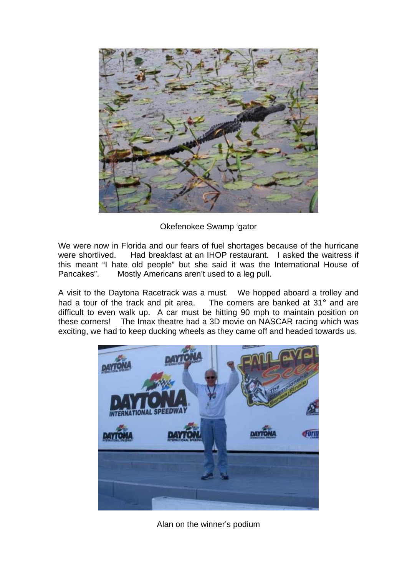

Okefenokee Swamp 'gator

We were now in Florida and our fears of fuel shortages because of the hurricane were shortlived. Had breakfast at an IHOP restaurant. I asked the waitress if this meant "I hate old people" but she said it was the International House of Pancakes". Mostly Americans aren't used to a leg pull.

A visit to the Daytona Racetrack was a must. We hopped aboard a trolley and had a tour of the track and pit area. The corners are banked at 31° and are difficult to even walk up. A car must be hitting 90 mph to maintain position on these corners! The Imax theatre had a 3D movie on NASCAR racing which was exciting, we had to keep ducking wheels as they came off and headed towards us.



Alan on the winner's podium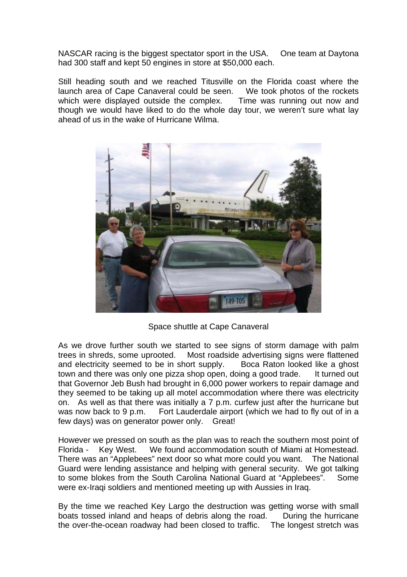NASCAR racing is the biggest spectator sport in the USA. One team at Daytona had 300 staff and kept 50 engines in store at \$50,000 each.

Still heading south and we reached Titusville on the Florida coast where the launch area of Cape Canaveral could be seen. We took photos of the rockets which were displayed outside the complex. Time was running out now and though we would have liked to do the whole day tour, we weren't sure what lay ahead of us in the wake of Hurricane Wilma.



Space shuttle at Cape Canaveral

As we drove further south we started to see signs of storm damage with palm trees in shreds, some uprooted. Most roadside advertising signs were flattened and electricity seemed to be in short supply. Boca Raton looked like a ghost town and there was only one pizza shop open, doing a good trade. It turned out that Governor Jeb Bush had brought in 6,000 power workers to repair damage and they seemed to be taking up all motel accommodation where there was electricity on. As well as that there was initially a 7 p.m. curfew just after the hurricane but was now back to 9 p.m. Fort Lauderdale airport (which we had to fly out of in a few days) was on generator power only. Great!

However we pressed on south as the plan was to reach the southern most point of Florida - Key West. We found accommodation south of Miami at Homestead. There was an "Applebees" next door so what more could you want. The National Guard were lending assistance and helping with general security. We got talking to some blokes from the South Carolina National Guard at "Applebees". Some were ex-Iraqi soldiers and mentioned meeting up with Aussies in Iraq.

By the time we reached Key Largo the destruction was getting worse with small boats tossed inland and heaps of debris along the road. During the hurricane the over-the-ocean roadway had been closed to traffic. The longest stretch was